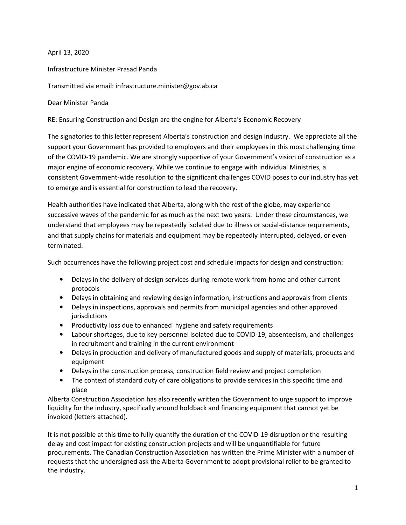April 13, 2020

Infrastructure Minister Prasad Panda

Transmitted via email: infrastructure.minister@gov.ab.ca

Dear Minister Panda

RE: Ensuring Construction and Design are the engine for Alberta's Economic Recovery

The signatories to this letter represent Alberta's construction and design industry. We appreciate all the support your Government has provided to employers and their employees in this most challenging time of the COVID-19 pandemic. We are strongly supportive of your Government's vision of construction as a major engine of economic recovery. While we continue to engage with individual Ministries, a consistent Government-wide resolution to the significant challenges COVID poses to our industry has yet to emerge and is essential for construction to lead the recovery.

Health authorities have indicated that Alberta, along with the rest of the globe, may experience successive waves of the pandemic for as much as the next two years. Under these circumstances, we understand that employees may be repeatedly isolated due to illness or social-distance requirements, and that supply chains for materials and equipment may be repeatedly interrupted, delayed, or even terminated.

Such occurrences have the following project cost and schedule impacts for design and construction:

- Delays in the delivery of design services during remote work-from-home and other current protocols
- Delays in obtaining and reviewing design information, instructions and approvals from clients
- Delays in inspections, approvals and permits from municipal agencies and other approved jurisdictions
- Productivity loss due to enhanced hygiene and safety requirements
- Labour shortages, due to key personnel isolated due to COVID-19, absenteeism, and challenges in recruitment and training in the current environment
- Delays in production and delivery of manufactured goods and supply of materials, products and equipment
- Delays in the construction process, construction field review and project completion
- The context of standard duty of care obligations to provide services in this specific time and place

Alberta Construction Association has also recently written the Government to urge support to improve liquidity for the industry, specifically around holdback and financing equipment that cannot yet be invoiced (letters attached).

It is not possible at this time to fully quantify the duration of the COVID-19 disruption or the resulting delay and cost impact for existing construction projects and will be unquantifiable for future procurements. The Canadian Construction Association has written the Prime Minister with a number of requests that the undersigned ask the Alberta Government to adopt provisional relief to be granted to the industry.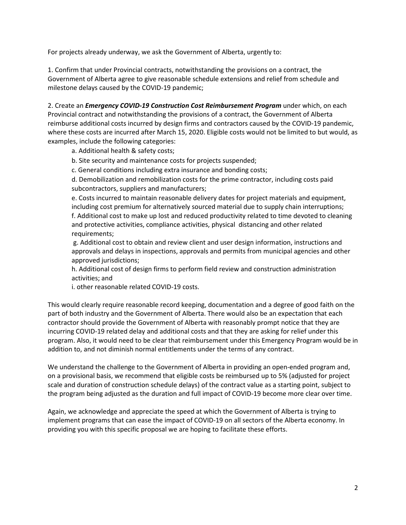For projects already underway, we ask the Government of Alberta, urgently to:

1. Confirm that under Provincial contracts, notwithstanding the provisions on a contract, the Government of Alberta agree to give reasonable schedule extensions and relief from schedule and milestone delays caused by the COVID-19 pandemic;

2. Create an *Emergency COVID-19 Construction Cost Reimbursement Program* under which, on each Provincial contract and notwithstanding the provisions of a contract, the Government of Alberta reimburse additional costs incurred by design firms and contractors caused by the COVID-19 pandemic, where these costs are incurred after March 15, 2020. Eligible costs would not be limited to but would, as examples, include the following categories:

a. Additional health & safety costs;

b. Site security and maintenance costs for projects suspended;

c. General conditions including extra insurance and bonding costs;

d. Demobilization and remobilization costs for the prime contractor, including costs paid subcontractors, suppliers and manufacturers;

e. Costs incurred to maintain reasonable delivery dates for project materials and equipment, including cost premium for alternatively sourced material due to supply chain interruptions; f. Additional cost to make up lost and reduced productivity related to time devoted to cleaning and protective activities, compliance activities, physical distancing and other related requirements;

 g. Additional cost to obtain and review client and user design information, instructions and approvals and delays in inspections, approvals and permits from municipal agencies and other approved jurisdictions;

h. Additional cost of design firms to perform field review and construction administration activities; and

i. other reasonable related COVID-19 costs.

This would clearly require reasonable record keeping, documentation and a degree of good faith on the part of both industry and the Government of Alberta. There would also be an expectation that each contractor should provide the Government of Alberta with reasonably prompt notice that they are incurring COVID-19 related delay and additional costs and that they are asking for relief under this program. Also, it would need to be clear that reimbursement under this Emergency Program would be in addition to, and not diminish normal entitlements under the terms of any contract.

We understand the challenge to the Government of Alberta in providing an open-ended program and, on a provisional basis, we recommend that eligible costs be reimbursed up to 5% (adjusted for project scale and duration of construction schedule delays) of the contract value as a starting point, subject to the program being adjusted as the duration and full impact of COVID-19 become more clear over time.

Again, we acknowledge and appreciate the speed at which the Government of Alberta is trying to implement programs that can ease the impact of COVID-19 on all sectors of the Alberta economy. In providing you with this specific proposal we are hoping to facilitate these efforts.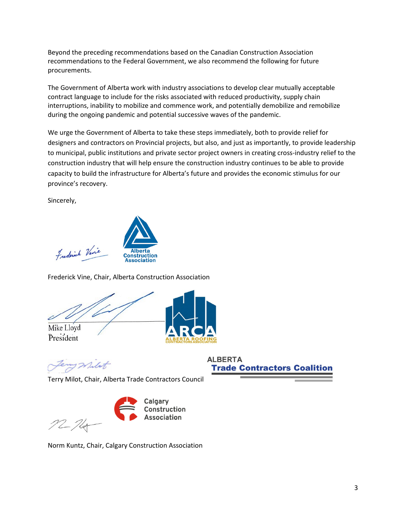Beyond the preceding recommendations based on the Canadian Construction Association recommendations to the Federal Government, we also recommend the following for future procurements.

The Government of Alberta work with industry associations to develop clear mutually acceptable contract language to include for the risks associated with reduced productivity, supply chain interruptions, inability to mobilize and commence work, and potentially demobilize and remobilize during the ongoing pandemic and potential successive waves of the pandemic.

We urge the Government of Alberta to take these steps immediately, both to provide relief for designers and contractors on Provincial projects, but also, and just as importantly, to provide leadership to municipal, public institutions and private sector project owners in creating cross-industry relief to the construction industry that will help ensure the construction industry continues to be able to provide capacity to build the infrastructure for Alberta's future and provides the economic stimulus for our province's recovery.

Sincerely,



Frederick Vine, Chair, Alberta Construction Association

Mike Lloyd President



milit

**ALBERTA Trade Contractors Coalition** 

Terry Milot, Chair, Alberta Trade Contractors Council



Norm Kuntz, Chair, Calgary Construction Association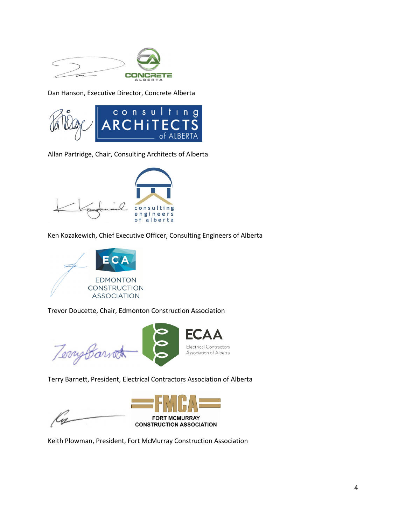

Dan Hanson, Executive Director, Concrete Alberta



Allan Partridge, Chair, Consulting Architects of Alberta



Ken Kozakewich, Chief Executive Officer, Consulting Engineers of Alberta



Trevor Doucette, Chair, Edmonton Construction Association

Tempbarrat

Terry Barnett, President, Electrical Contractors Association of Alberta

M



**ECA** 

Electrical Contractors

Association of Alberta

Keith Plowman, President, Fort McMurray Construction Association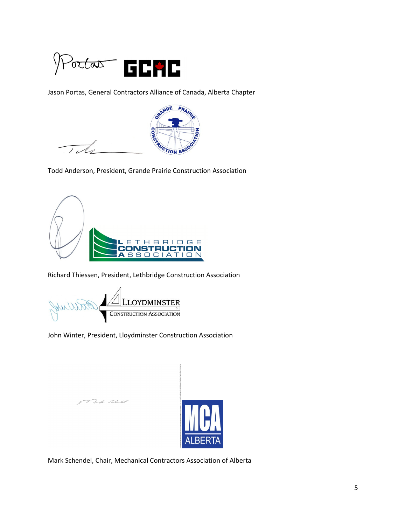

Jason Portas, General Contractors Alliance of Canada, Alberta Chapter



 $\overline{\phantom{0}}$  $\overline{16}$ 

Todd Anderson, President, Grande Prairie Construction Association



Richard Thiessen, President, Lethbridge Construction Association

**AU LLOYDMINSTER**<br>CONSTRUCTION ASSOCIATION WWW

f<sup>rom J</sup>achter Februar<sup>es</sup>

John Winter, President, Lloydminster Construction Association



Mark Schendel, Chair, Mechanical Contractors Association of Alberta